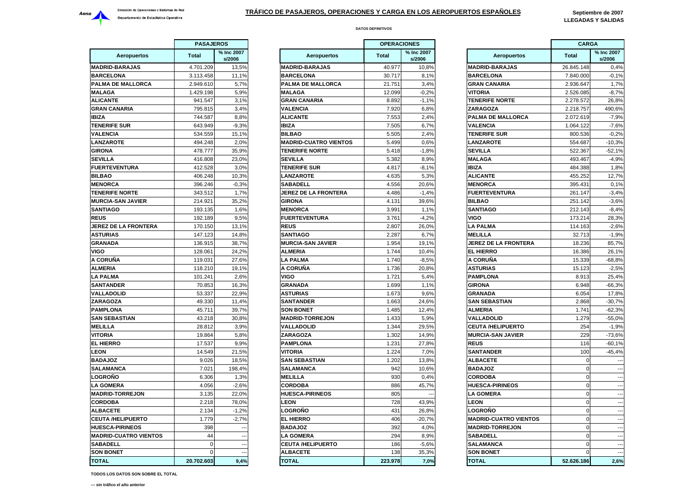

**DATOS DEFINITIVOS**

 **LLEGADAS Y SALIDAS**

|                              | <b>PASAJEROS</b> |                      |  |
|------------------------------|------------------|----------------------|--|
| Aeropuertos                  | <b>Total</b>     | % Inc 2007<br>s/2006 |  |
| <b>MADRID-BARAJAS</b>        | 4.701.209        | 13,5%                |  |
| <b>BARCELONA</b>             | 3.113.458        | 11,1%                |  |
| PALMA DE MALLORCA            | 2.949.610        | 5,7%                 |  |
| <b>MALAGA</b>                | 1.429.198        | 5,9%                 |  |
| <b>ALICANTE</b>              | 941.547          | 3,1%                 |  |
| <b>GRAN CANARIA</b>          | 795.815          | 3,4%                 |  |
| <b>IBIZA</b>                 | 744.587          | 8,8%                 |  |
| <b>TENERIFE SUR</b>          | 643.949          | $-9,3%$              |  |
| <b>VALENCIA</b>              | 534.559          | 15,1%                |  |
| <b>LANZAROTE</b>             | 494.248          | 2,0%                 |  |
| GIRONA                       | 478.777          | 35,9%                |  |
| <b>SEVILLA</b>               | 416.808          | 23,0%                |  |
| <b>FUERTEVENTURA</b>         | 412.528          | 3,0%                 |  |
| <b>BILBAO</b>                | 406.248          | 10,3%                |  |
| <b>MENORCA</b>               | 396.246          | $-0.3%$              |  |
| <b>TENERIFE NORTE</b>        | 343.512          | 1,7%                 |  |
| <b>MURCIA-SAN JAVIER</b>     | 214.921          | 35,2%                |  |
| <b>SANTIAGO</b>              | 193.135          | 1,6%                 |  |
| <b>REUS</b>                  | 192.189          | 9,5%                 |  |
| <b>JEREZ DE LA FRONTERA</b>  | 170.150          | 13,1%                |  |
| <b>ASTURIAS</b>              | 147.123          | 14,8%                |  |
| <b>GRANADA</b>               | 136.915          | 38,7%                |  |
| VIGO                         | 128.061          | 24,2%                |  |
| A CORUÑA                     | 119.031          | 27,6%                |  |
| <b>ALMERIA</b>               | 118.210          | 19,1%                |  |
| <b>LA PALMA</b>              | 101.241          | 2,6%                 |  |
| <b>SANTANDER</b>             |                  | 16,3%                |  |
|                              | 70.853           |                      |  |
| VALLADOLID                   | 53.337           | 22,9%                |  |
| ZARAGOZA                     | 49.330           | 11,4%                |  |
| <b>PAMPLONA</b>              | 45.711           | 39,7%                |  |
| <b>SAN SEBASTIAN</b>         | 43.218           | 30,8%                |  |
| <b>MELILLA</b>               | 28.812           | 3,9%                 |  |
| VITORIA                      | 19.864           | 5,8%                 |  |
| <b>EL HIERRO</b>             | 17.537           | 9,9%                 |  |
| LEON                         | 14.549           | 21,5%                |  |
| <b>BADAJOZ</b>               | 9.026            | 18,5%                |  |
| SALAMANCA                    | 7.021            | 198,4%               |  |
| <b>LOGROÑO</b>               | 6.306            | 1,3%                 |  |
| <b>LA GOMERA</b>             | 4.056            | $-2,6%$              |  |
| <b>MADRID-TORREJON</b>       | 3.135            | 22,0%                |  |
| <b>CORDOBA</b>               | 2.218            | 78,0%                |  |
| <b>ALBACETE</b>              | 2.134            | $-1,2%$              |  |
| <b>CEUTA /HELIPUERTO</b>     | 1.779            | $-2,7%$              |  |
| <b>HUESCA-PIRINEOS</b>       | 398              |                      |  |
| <b>MADRID-CUATRO VIENTOS</b> | 44               |                      |  |
| SABADELL                     | 0                |                      |  |
| <b>SON BONET</b>             | $\mathbf 0$      |                      |  |
| <b>TOTAL</b>                 | 20.702.603       | 9,4%                 |  |

| <b>PASAJEROS</b>           |              |                          |                              | <b>OPERACIONES</b> |                      |                              | <b>CARGA</b> |                          |  |
|----------------------------|--------------|--------------------------|------------------------------|--------------------|----------------------|------------------------------|--------------|--------------------------|--|
| <b>Aeropuertos</b>         | <b>Total</b> | % Inc 2007<br>s/2006     | <b>Aeropuertos</b>           | <b>Total</b>       | % Inc 2007<br>s/2006 | <b>Aeropuertos</b>           | <b>Total</b> | % Inc 2007<br>s/2006     |  |
| <b>DRID-BARAJAS</b>        | 4.701.209    | 13,5%                    | <b>MADRID-BARAJAS</b>        | 40.977             | 10.8%                | <b>MADRID-BARAJAS</b>        | 26.845.148   | 0,4%                     |  |
| <b>RCELONA</b>             | 3.113.458    | 11,1%                    | <b>BARCELONA</b>             | 30.717             | 8,1%                 | <b>BARCELONA</b>             | 7.840.000    | $-0,1%$                  |  |
| <b>MA DE MALLORCA</b>      | 2.949.610    | 5,7%                     | <b>PALMA DE MALLORCA</b>     | 21.751             | 3.4%                 | <b>GRAN CANARIA</b>          | 2.936.647    | 1,7%                     |  |
| LAGA                       | 1.429.198    | 5,9%                     | <b>MALAGA</b>                | 12.099             | $-0.2%$              | VITORIA                      | 2.526.085    | $-8,7%$                  |  |
| <b>CANTE</b>               | 941.547      | 3,1%                     | <b>GRAN CANARIA</b>          | 8.892              | $-1,1%$              | <b>TENERIFE NORTE</b>        | 2.278.572    | 26,8%                    |  |
| AN CANARIA                 | 795.815      | 3,4%                     | <b>VALENCIA</b>              | 7.920              | 6,8%                 | ZARAGOZA                     | 2.218.757    | 490,6%                   |  |
| 'A                         | 744.587      | 8,8%                     | <b>ALICANTE</b>              | 7.553              | 2,4%                 | PALMA DE MALLORCA            | 2.072.619    | $-7,9%$                  |  |
| <b>IERIFE SUR</b>          | 643.949      | $-9.3%$                  | <b>IBIZA</b>                 | 7.505              | 6,7%                 | <b>VALENCIA</b>              | 1.064.122    | $-7.6%$                  |  |
| <b>ENCIA</b>               | 534.559      | 15,1%                    | <b>BILBAO</b>                | 5.505              | 2,4%                 | <b>TENERIFE SUR</b>          | 800.536      | $-0,2%$                  |  |
| <b>IZAROTE</b>             | 494.248      | 2.0%                     | <b>MADRID-CUATRO VIENTOS</b> | 5.499              | 0.6%                 | <b>LANZAROTE</b>             | 554.687      | $-10.3%$                 |  |
| ONA                        | 478.777      | 35,9%                    | <b>TENERIFE NORTE</b>        | 5.418              | $-1,8%$              | <b>SEVILLA</b>               | 522.367      | $-52,1%$                 |  |
| <b>ILLA</b>                | 416.808      | 23,0%                    | <b>SEVILLA</b>               | 5.382              | 8,9%                 | <b>MALAGA</b>                | 493.467      | $-4,9%$                  |  |
| <b>ERTEVENTURA</b>         | 412.528      | 3,0%                     | <b>TENERIFE SUR</b>          | 4.817              | $-8,1%$              | IBIZA                        | 484.388      | 1,8%                     |  |
| BAO                        | 406.248      | 10,3%                    | <b>LANZAROTE</b>             | 4.635              | 5,3%                 | <b>ALICANTE</b>              | 455.252      | 12,7%                    |  |
| <b>NORCA</b>               | 396.246      | $-0,3%$                  | SABADELL                     | 4.556              | 20,6%                | <b>MENORCA</b>               | 395.431      | 0,1%                     |  |
| <b>IERIFE NORTE</b>        | 343.512      | 1,7%                     | <b>JEREZ DE LA FRONTERA</b>  | 4.486              | $-1.4%$              | <b>FUERTEVENTURA</b>         | 261.147      | $-3,4%$                  |  |
| <b>RCIA-SAN JAVIER</b>     | 214.921      | 35.2%                    | <b>GIRONA</b>                | 4.131              | 39.6%                | <b>BILBAO</b>                | 251.142      | $-3,6%$                  |  |
| <b>ATIAGO</b>              | 193.135      | 1,6%                     | <b>MENORCA</b>               | 3.991              | 1,1%                 | <b>SANTIAGO</b>              | 212.143      | $-8,4%$                  |  |
| JS                         | 192.189      | 9.5%                     | <b>FUERTEVENTURA</b>         | 3.761              | $-4,2%$              | VIGO                         | 173.214      | 28,3%                    |  |
| <b>EZ DE LA FRONTERA</b>   | 170.150      | 13,1%                    | <b>REUS</b>                  | 2.807              | 26,0%                | <b>LA PALMA</b>              | 114.163      | $-2,6%$                  |  |
| <b>TURIAS</b>              | 147.123      | 14,8%                    | <b>SANTIAGO</b>              | 2.287              | 6,7%                 | <b>MELILLA</b>               | 32.713       | $-1,9%$                  |  |
| ANADA                      | 136.915      | 38,7%                    | <b>MURCIA-SAN JAVIER</b>     | 1.954              | 19,1%                | JEREZ DE LA FRONTERA         | 18.236       | 85,7%                    |  |
| O                          | 128.061      | 24,2%                    | <b>ALMERIA</b>               | 1.744              | 10,4%                | <b>EL HIERRO</b>             | 16.386       | 26,1%                    |  |
| ORUÑA                      | 119.031      | 27,6%                    | <b>LA PALMA</b>              | 1.740              | $-8,5%$              | A CORUÑA                     | 15.339       | $-68,8%$                 |  |
| <b>AERIA</b>               | 118.210      | 19,1%                    | A CORUÑA                     | 1.736              | 20,8%                | <b>ASTURIAS</b>              | 15.123       | $-2,5%$                  |  |
| <b>PALMA</b>               | 101.241      | 2,6%                     | <b>VIGO</b>                  | 1.721              | 5,4%                 | <b>PAMPLONA</b>              | 8.913        | 25,4%                    |  |
| <b>ITANDER</b>             | 70.853       | 16,3%                    | <b>GRANADA</b>               | 1.699              | 1,1%                 | <b>GIRONA</b>                | 6.948        | $-66,3%$                 |  |
| <b>LADOLID</b>             | 53.337       | 22,9%                    | <b>ASTURIAS</b>              | 1.673              | 9,6%                 | <b>GRANADA</b>               | 6.054        | 17,8%                    |  |
| <b>AGOZA</b>               | 49.330       | 11,4%                    | <b>SANTANDER</b>             | 1.663              | 24,6%                | <b>SAN SEBASTIAN</b>         | 2.868        | $-30,7%$                 |  |
| <b>APLONA</b>              | 45.711       | 39,7%                    | <b>SON BONET</b>             | 1.485              | 12,4%                | <b>ALMERIA</b>               | 1.741        | $-62,3%$                 |  |
| <b>I SEBASTIAN</b>         | 43.218       | 30,8%                    | <b>MADRID-TORREJON</b>       | 1.433              | 5,9%                 | <b>VALLADOLID</b>            | 1.279        | $-55,0%$                 |  |
| LILLA                      | 28.812       | 3.9%                     | <b>VALLADOLID</b>            | 1.344              | 29,5%                | <b>CEUTA /HELIPUERTO</b>     | 254          | $-1,9%$                  |  |
| ORIA                       | 19.864       | 5,8%                     | <b>ZARAGOZA</b>              | 1.302              | 14,9%                | <b>MURCIA-SAN JAVIER</b>     | 229          | $-73,6%$                 |  |
| <b>HIERRO</b>              | 17.537       | 9,9%                     | <b>PAMPLONA</b>              | 1.231              | 27,8%                | <b>REUS</b>                  | 116          | $-60,1%$                 |  |
| ЭN                         | 14.549       | 21,5%                    | <b>VITORIA</b>               | 1.224              | 7,0%                 | <b>SANTANDER</b>             | 100          | $-45,4%$                 |  |
| <b>SOLAC</b>               | 9.026        | 18,5%                    | <b>SAN SEBASTIAN</b>         | 1.202              | 13,8%                | <b>ALBACETE</b>              | $\sqrt{ }$   |                          |  |
| <b>AMANCA</b>              | 7.021        | 198,4%                   | <b>SALAMANCA</b>             | 942                | 10,6%                | <b>BADAJOZ</b>               | $\Omega$     |                          |  |
| <b>GROÑO</b>               | 6.306        | 1,3%                     | <b>MELILLA</b>               | 930                | 0,4%                 | <b>CORDOBA</b>               | $\Omega$     |                          |  |
| <b>GOMERA</b>              | 4.056        | $-2,6%$                  | <b>CORDOBA</b>               | 886                | 45,7%                | <b>HUESCA-PIRINEOS</b>       | $\Omega$     |                          |  |
| <b>DRID-TORREJON</b>       | 3.135        | 22,0%                    | <b>HUESCA-PIRINEOS</b>       | 805                |                      | <b>LA GOMERA</b>             | $\Omega$     |                          |  |
| RDOBA                      | 2.218        | 78,0%                    | <b>LEON</b>                  | 728                | 43,9%                | <b>LEON</b>                  | $\mathbf 0$  |                          |  |
| <b>BACETE</b>              | 2.134        | $-1,2%$                  | LOGROÑO                      | 431                | 26,8%                | LOGROÑO                      | $\Omega$     | $\overline{a}$           |  |
| <b>JTA /HELIPUERTO</b>     | 1.779        | $-2,7%$                  | <b>EL HIERRO</b>             | 406                | $-20,7%$             | <b>MADRID-CUATRO VIENTOS</b> | $\Omega$     | ---                      |  |
| <b>ESCA-PIRINEOS</b>       | 398          | $\overline{\phantom{a}}$ | <b>BADAJOZ</b>               | 392                | 4,0%                 | <b>MADRID-TORREJON</b>       | $\Omega$     | $\overline{\phantom{a}}$ |  |
| <b>DRID-CUATRO VIENTOS</b> | 44           | $\overline{\phantom{a}}$ | <b>LA GOMERA</b>             | 294                | 8,9%                 | <b>SABADELL</b>              |              |                          |  |
| <b>BADELL</b>              |              | $\overline{a}$           | <b>CEUTA /HELIPUERTO</b>     | 186                | $-5,6%$              | <b>SALAMANCA</b>             |              | ---                      |  |
| <b>N BONET</b>             | $\Omega$     |                          | <b>ALBACETE</b>              | 138                | 35,3%                | <b>SON BONET</b>             |              |                          |  |
| <b>TAL</b>                 | 20.702.603   | 9.4%                     | <b>TOTAL</b>                 | 223.978            | 7.0%                 | <b>TOTAL</b>                 | 52.626.186   | 2,6%                     |  |
|                            |              |                          |                              |                    |                      |                              |              |                          |  |

|                      | <b>OPERACIONES</b> |                      |                              | <b>CARGA</b> |                          |  |
|----------------------|--------------------|----------------------|------------------------------|--------------|--------------------------|--|
| eropuertos           | <b>Total</b>       | % Inc 2007<br>s/2006 | <b>Aeropuertos</b>           | <b>Total</b> | % Inc 2007<br>s/2006     |  |
| <b><i>RAJAS</i></b>  | 40.977             | 10,8%                | <b>MADRID-BARAJAS</b>        | 26.845.148   | 0,4%                     |  |
| IΑ                   | 30.717             | 8,1%                 | <b>BARCELONA</b>             | 7.840.000    | $-0,1%$                  |  |
| <b>MALLORCA</b>      | 21.751             | 3,4%                 | <b>GRAN CANARIA</b>          | 2.936.647    | 1,7%                     |  |
|                      | 12.099             | $-0.2%$              | VITORIA                      | 2.526.085    | $-8,7%$                  |  |
| ARIA                 | 8.892              | $-1,1%$              | <b>TENERIFE NORTE</b>        | 2.278.572    | 26,8%                    |  |
|                      | 7.920              | 6,8%                 | <b>ZARAGOZA</b>              | 2.218.757    | 490,6%                   |  |
|                      | 7.553              | 2,4%                 | <b>PALMA DE MALLORCA</b>     | 2.072.619    | $-7,9%$                  |  |
|                      | 7.505              | 6,7%                 | <b>VALENCIA</b>              | 1.064.122    | $-7,6%$                  |  |
|                      | 5.505              | 2,4%                 | <b>TENERIFE SUR</b>          | 800.536      | $-0,2%$                  |  |
| <b>JATRO VIENTOS</b> | 5.499              | 0,6%                 | <b>LANZAROTE</b>             | 554.687      | $-10,3%$                 |  |
| <b>NORTE</b>         | 5.418              | $-1,8%$              | <b>SEVILLA</b>               | 522.367      | $-52,1%$                 |  |
|                      | 5.382              | 8,9%                 | <b>MALAGA</b>                | 493.467      | $-4,9%$                  |  |
| SUR                  | 4.817              | $-8,1%$              | <b>IBIZA</b>                 | 484.388      | 1,8%                     |  |
| Έ.                   | 4.635              | 5,3%                 | <b>ALICANTE</b>              | 455.252      | 12,7%                    |  |
|                      | 4.556              | 20,6%                | <b>MENORCA</b>               | 395.431      | 0,1%                     |  |
| <b>A FRONTERA</b>    | 4.486              | $-1,4%$              | <b>FUERTEVENTURA</b>         | 261.147      | $-3,4%$                  |  |
|                      | 4.131              | 39.6%                | <b>BILBAO</b>                | 251.142      | $-3,6%$                  |  |
|                      | 3.991              | 1,1%                 | <b>SANTIAGO</b>              | 212.143      | $-8,4%$                  |  |
| NTURA                | 3.761              | $-4,2%$              | VIGO                         | 173.214      | 28,3%                    |  |
|                      | 2.807              | 26,0%                | <b>LA PALMA</b>              | 114.163      | $-2,6%$                  |  |
|                      | 2.287              | 6,7%                 | <b>MELILLA</b>               | 32.713       | $-1,9%$                  |  |
| <b>N JAVIER</b>      | 1.954              | 19,1%                | <b>JEREZ DE LA FRONTERA</b>  | 18.236       | 85,7%                    |  |
|                      | 1.744              | 10,4%                | <b>EL HIERRO</b>             | 16.386       | 26,1%                    |  |
|                      | 1.740              | $-8,5%$              | A CORUÑA                     | 15.339       | $-68,8%$                 |  |
|                      | 1.736              | 20,8%                | <b>ASTURIAS</b>              | 15.123       | $-2,5%$                  |  |
|                      | 1.721              | 5,4%                 | <b>PAMPLONA</b>              | 8.913        | 25.4%                    |  |
|                      | 1.699              | 1,1%                 | <b>GIRONA</b>                | 6.948        | $-66,3%$                 |  |
|                      |                    |                      |                              |              |                          |  |
|                      | 1.673              | 9,6%                 | GRANADA                      | 6.054        | 17,8%                    |  |
| R                    | 1.663              | 24,6%                | <b>SAN SEBASTIAN</b>         | 2.868        | $-30,7%$                 |  |
| T                    | 1.485              | 12,4%                | <b>ALMERIA</b>               | 1.741        | $-62,3%$                 |  |
| <b>RREJON</b>        | 1.433              | 5,9%                 | <b>VALLADOLID</b>            | 1.279        | $-55,0%$                 |  |
| ID                   | 1.344              | 29,5%                | <b>CEUTA /HELIPUERTO</b>     | 254          | $-1,9%$                  |  |
|                      | 1.302              | 14,9%                | <b>MURCIA-SAN JAVIER</b>     | 229          | $-73,6%$                 |  |
| l                    | 1.231              | 27,8%                | <b>REUS</b>                  | 116          | $-60,1%$                 |  |
|                      | 1.224              | 7,0%                 | <b>SANTANDER</b>             | 100          | $-45,4%$                 |  |
| STIAN                | 1.202              | 13,8%                | <b>ALBACETE</b>              | $\Omega$     |                          |  |
| ۰A                   | 942                | 10,6%                | <b>BADAJOZ</b>               | $\mathbf 0$  | $\sim$                   |  |
|                      | 930                | 0,4%                 | <b>CORDOBA</b>               | 0            | $\overline{\phantom{a}}$ |  |
|                      | 886                | 45,7%                | <b>HUESCA-PIRINEOS</b>       | $\mathbf 0$  | $\sim$                   |  |
| <b>RINEOS</b>        | 805                |                      | <b>LA GOMERA</b>             | 0            | ÷.                       |  |
|                      | 728                | 43,9%                | <b>LEON</b>                  | $\mathbf 0$  | Ξ.                       |  |
|                      | 431                | 26,8%                | <b>LOGROÑO</b>               | $\mathbf 0$  | L.                       |  |
|                      | 406                | $-20,7%$             | <b>MADRID-CUATRO VIENTOS</b> | 0            | $\overline{a}$           |  |
|                      | 392                | 4,0%                 | <b>MADRID-TORREJON</b>       | $\Omega$     | $\ddotsc$                |  |
| А                    | 294                | 8,9%                 | <b>SABADELL</b>              | $\mathbf 0$  | $\overline{\phantom{a}}$ |  |
| <b>LIPUERTO</b>      | 186                | $-5,6%$              | SALAMANCA                    | $\mathbf 0$  |                          |  |
|                      | 138                | 35,3%                | <b>SON BONET</b>             | $\mathbf 0$  |                          |  |
|                      | 223.978            | 7,0%                 | <b>TOTAL</b>                 | 52.626.186   | 2,6%                     |  |

**TODOS LOS DATOS SON SOBRE EL TOTAL**